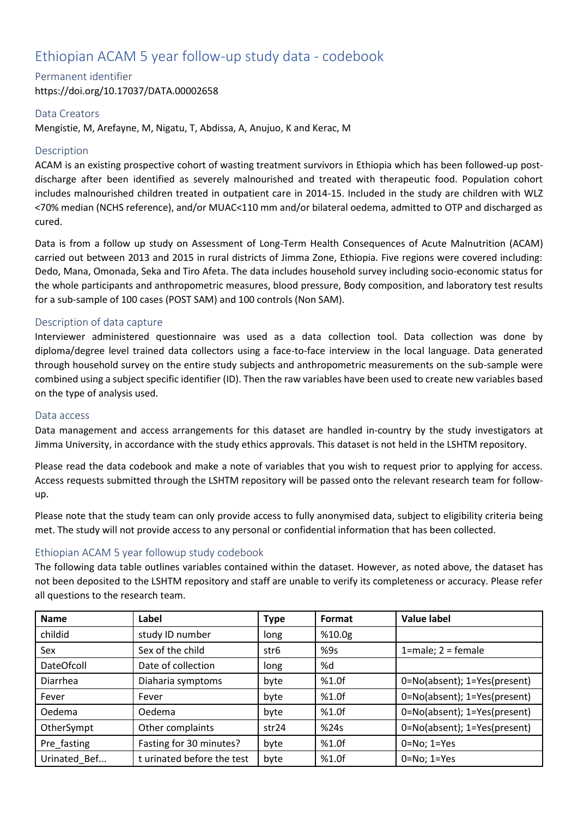# Ethiopian ACAM 5 year follow-up study data - codebook

Permanent identifier

https://doi.org/10.17037/DATA.00002658

## Data Creators

Mengistie, M, Arefayne, M, Nigatu, T, Abdissa, A, Anujuo, K and Kerac, M

## **Description**

ACAM is an existing prospective cohort of wasting treatment survivors in Ethiopia which has been followed-up postdischarge after been identified as severely malnourished and treated with therapeutic food. Population cohort includes malnourished children treated in outpatient care in 2014-15. Included in the study are children with WLZ <70% median (NCHS reference), and/or MUAC<110 mm and/or bilateral oedema, admitted to OTP and discharged as cured.

Data is from a follow up study on Assessment of Long-Term Health Consequences of Acute Malnutrition (ACAM) carried out between 2013 and 2015 in rural districts of Jimma Zone, Ethiopia. Five regions were covered including: Dedo, Mana, Omonada, Seka and Tiro Afeta. The data includes household survey including socio-economic status for the whole participants and anthropometric measures, blood pressure, Body composition, and laboratory test results for a sub-sample of 100 cases (POST SAM) and 100 controls (Non SAM).

## Description of data capture

Interviewer administered questionnaire was used as a data collection tool. Data collection was done by diploma/degree level trained data collectors using a face-to-face interview in the local language. Data generated through household survey on the entire study subjects and anthropometric measurements on the sub-sample were combined using a subject specific identifier (ID). Then the raw variables have been used to create new variables based on the type of analysis used.

## Data access

Data management and access arrangements for this dataset are handled in-country by the study investigators at Jimma University, in accordance with the study ethics approvals. This dataset is not held in the LSHTM repository.

Please read the data codebook and make a note of variables that you wish to request prior to applying for access. Access requests submitted through the LSHTM repository will be passed onto the relevant research team for followup.

Please note that the study team can only provide access to fully anonymised data, subject to eligibility criteria being met. The study will not provide access to any personal or confidential information that has been collected.

## Ethiopian ACAM 5 year followup study codebook

The following data table outlines variables contained within the dataset. However, as noted above, the dataset has not been deposited to the LSHTM repository and staff are unable to verify its completeness or accuracy. Please refer all questions to the research team.

| <b>Name</b>       | Label                      | <b>Type</b>       | Format | <b>Value label</b>           |
|-------------------|----------------------------|-------------------|--------|------------------------------|
| childid           | study ID number            | long              | %10.0g |                              |
| Sex               | Sex of the child           | str6              | %9s    | $1$ =male; $2$ = female      |
| <b>DateOfcoll</b> | Date of collection         | long              | %d     |                              |
| Diarrhea          | Diaharia symptoms          | byte              | %1.0f  | 0=No(absent); 1=Yes(present) |
| Fever             | Fever                      | byte              | %1.0f  | 0=No(absent); 1=Yes(present) |
| Oedema            | Oedema                     | byte              | %1.0f  | 0=No(absent); 1=Yes(present) |
| OtherSympt        | Other complaints           | str <sub>24</sub> | %24s   | 0=No(absent); 1=Yes(present) |
| Pre fasting       | Fasting for 30 minutes?    | byte              | %1.0f  | $0 = No; 1 = Yes$            |
| Urinated Bef      | t urinated before the test | byte              | %1.0f  | $0 = No; 1 = Yes$            |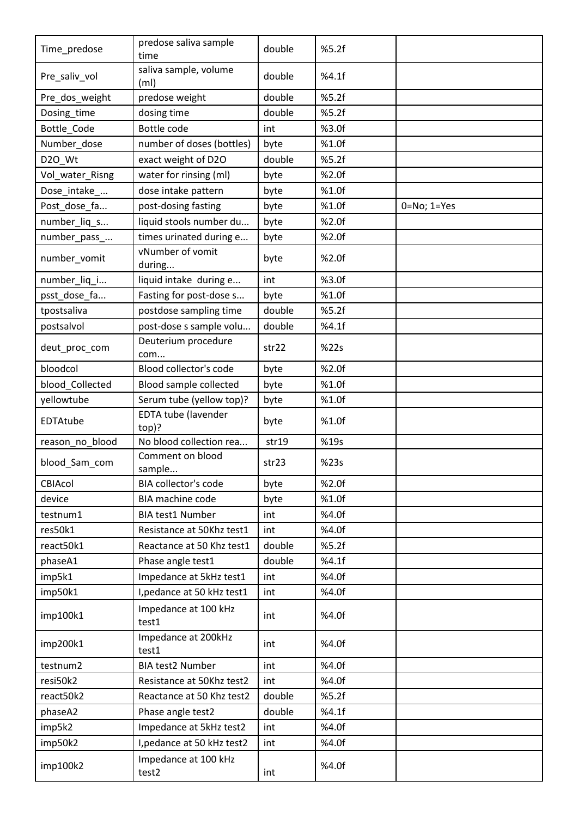| Time_predose    | predose saliva sample<br>time              | double | %5.2f |                   |
|-----------------|--------------------------------------------|--------|-------|-------------------|
| Pre_saliv_vol   | saliva sample, volume<br>(m <sub>l</sub> ) | double | %4.1f |                   |
| Pre_dos_weight  | predose weight                             | double | %5.2f |                   |
| Dosing_time     | dosing time                                | double | %5.2f |                   |
| Bottle_Code     | Bottle code                                | int    | %3.0f |                   |
| Number_dose     | number of doses (bottles)                  | byte   | %1.0f |                   |
| D2O_Wt          | exact weight of D2O                        | double | %5.2f |                   |
| Vol_water_Risng | water for rinsing (ml)                     | byte   | %2.0f |                   |
| Dose_intake_    | dose intake pattern                        | byte   | %1.0f |                   |
| Post_dose_fa    | post-dosing fasting                        | byte   | %1.0f | $0 = No; 1 = Yes$ |
| number_liq_s    | liquid stools number du                    | byte   | %2.0f |                   |
| number_pass_    | times urinated during e                    | byte   | %2.0f |                   |
| number_vomit    | vNumber of vomit<br>during                 | byte   | %2.0f |                   |
| number_liq_i    | liquid intake during e                     | int    | %3.0f |                   |
| psst_dose_fa    | Fasting for post-dose s                    | byte   | %1.0f |                   |
| tpostsaliva     | postdose sampling time                     | double | %5.2f |                   |
| postsalvol      | post-dose s sample volu                    | double | %4.1f |                   |
| deut_proc_com   | Deuterium procedure<br>com                 | str22  | %22s  |                   |
| bloodcol        | Blood collector's code                     | byte   | %2.0f |                   |
| blood_Collected | <b>Blood sample collected</b>              | byte   | %1.0f |                   |
| yellowtube      | Serum tube (yellow top)?                   | byte   | %1.0f |                   |
| EDTAtube        | <b>EDTA tube (lavender</b><br>top)?        | byte   | %1.0f |                   |
| reason_no_blood | No blood collection rea                    | str19  | %19s  |                   |
| blood_Sam_com   | Comment on blood<br>sample                 | str23  | %23s  |                   |
| CBIAcol         | BIA collector's code                       | byte   | %2.0f |                   |
| device          | <b>BIA machine code</b>                    | byte   | %1.0f |                   |
| testnum1        | <b>BIA test1 Number</b>                    | int    | %4.0f |                   |
| res50k1         | Resistance at 50Khz test1                  | int    | %4.0f |                   |
| react50k1       | Reactance at 50 Khz test1                  | double | %5.2f |                   |
| phaseA1         | Phase angle test1                          | double | %4.1f |                   |
| imp5k1          | Impedance at 5kHz test1                    | int    | %4.0f |                   |
| imp50k1         | I, pedance at 50 kHz test1                 | int    | %4.0f |                   |
| imp100k1        | Impedance at 100 kHz<br>test1              | int    | %4.0f |                   |
| imp200k1        | Impedance at 200kHz<br>test1               | int    | %4.0f |                   |
| testnum2        | <b>BIA test2 Number</b>                    | int    | %4.0f |                   |
| resi50k2        | Resistance at 50Khz test2                  | int    | %4.0f |                   |
| react50k2       | Reactance at 50 Khz test2                  | double | %5.2f |                   |
| phaseA2         | Phase angle test2                          | double | %4.1f |                   |
| imp5k2          | Impedance at 5kHz test2                    | int    | %4.0f |                   |
| imp50k2         | I, pedance at 50 kHz test2                 | int    | %4.0f |                   |
| imp100k2        | Impedance at 100 kHz<br>test2              | int    | %4.0f |                   |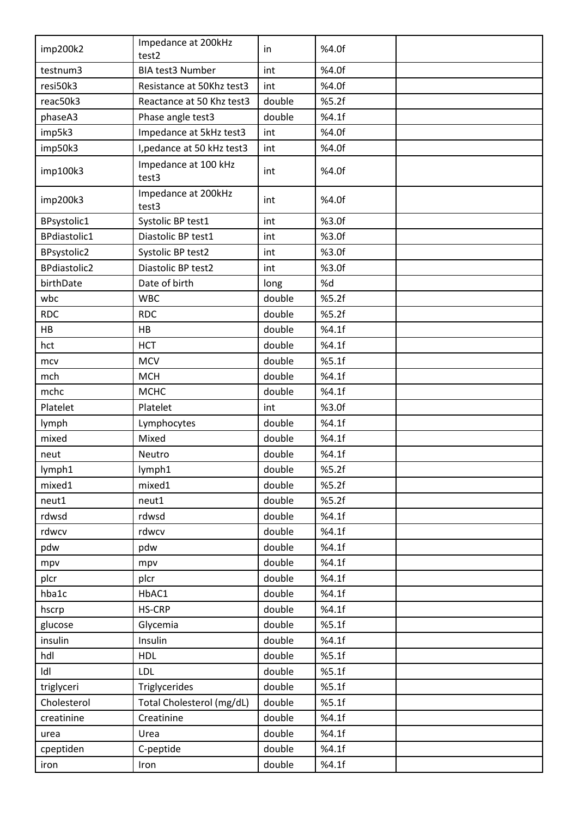| imp200k2            | Impedance at 200kHz           | in.    | %4.0f |  |
|---------------------|-------------------------------|--------|-------|--|
|                     | test2                         |        |       |  |
| testnum3            | <b>BIA test3 Number</b>       | int    | %4.0f |  |
| resi50k3            | Resistance at 50Khz test3     | int    | %4.0f |  |
| reac50k3            | Reactance at 50 Khz test3     | double | %5.2f |  |
| phaseA3             | Phase angle test3             | double | %4.1f |  |
| imp5k3              | Impedance at 5kHz test3       | int    | %4.0f |  |
| imp50k3             | I, pedance at 50 kHz test3    | int    | %4.0f |  |
| imp100k3            | Impedance at 100 kHz<br>test3 | int    | %4.0f |  |
| imp200k3            | Impedance at 200kHz<br>test3  | int    | %4.0f |  |
| BPsystolic1         | Systolic BP test1             | int    | %3.0f |  |
| BPdiastolic1        | Diastolic BP test1            | int    | %3.0f |  |
| BPsystolic2         | Systolic BP test2             | int    | %3.0f |  |
| <b>BPdiastolic2</b> | Diastolic BP test2            | int    | %3.0f |  |
| birthDate           | Date of birth                 | long   | %d    |  |
| wbc                 | <b>WBC</b>                    | double | %5.2f |  |
| <b>RDC</b>          | <b>RDC</b>                    | double | %5.2f |  |
| HB                  | HB                            | double | %4.1f |  |
| hct                 | <b>HCT</b>                    | double | %4.1f |  |
| mcv                 | <b>MCV</b>                    | double | %5.1f |  |
| mch                 | <b>MCH</b>                    | double | %4.1f |  |
| mchc                | <b>MCHC</b>                   | double | %4.1f |  |
| Platelet            | Platelet                      | int    | %3.0f |  |
| lymph               | Lymphocytes                   | double | %4.1f |  |
| mixed               | Mixed                         | double | %4.1f |  |
| neut                | Neutro                        | double | %4.1f |  |
| lymph1              | lymph1                        | double | %5.2f |  |
| mixed1              | mixed1                        | double | %5.2f |  |
| neut1               | neut1                         | double | %5.2f |  |
| rdwsd               | rdwsd                         | double | %4.1f |  |
| rdwcv               | rdwcv                         | double | %4.1f |  |
| pdw                 | pdw                           | double | %4.1f |  |
| mpv                 | mpv                           | double | %4.1f |  |
| plcr                | plcr                          | double | %4.1f |  |
| hba1c               | HbAC1                         | double | %4.1f |  |
| hscrp               | <b>HS-CRP</b>                 | double | %4.1f |  |
| glucose             | Glycemia                      | double | %5.1f |  |
| insulin             | Insulin                       | double | %4.1f |  |
| hdl                 | <b>HDL</b>                    | double | %5.1f |  |
| Idl                 | <b>LDL</b>                    | double | %5.1f |  |
| triglyceri          | Triglycerides                 | double | %5.1f |  |
| Cholesterol         | Total Cholesterol (mg/dL)     | double | %5.1f |  |
| creatinine          | Creatinine                    | double | %4.1f |  |
|                     |                               |        |       |  |
| urea                | Urea                          | double | %4.1f |  |
| cpeptiden           | C-peptide                     | double | %4.1f |  |
| iron                | Iron                          | double | %4.1f |  |